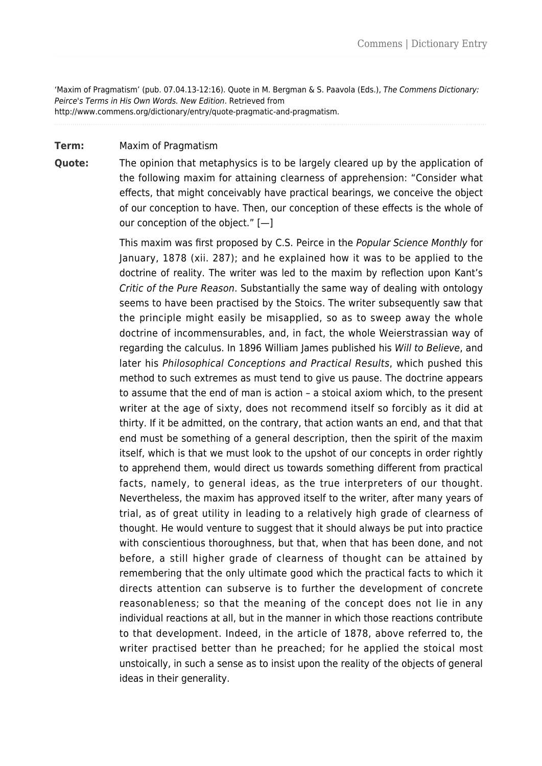'Maxim of Pragmatism' (pub. 07.04.13-12:16). Quote in M. Bergman & S. Paavola (Eds.), The Commens Dictionary: Peirce's Terms in His Own Words. New Edition. Retrieved from http://www.commens.org/dictionary/entry/quote-pragmatic-and-pragmatism.

**Term:** Maxim of Pragmatism

**Quote:** The opinion that metaphysics is to be largely cleared up by the application of the following maxim for attaining clearness of apprehension: "Consider what effects, that might conceivably have practical bearings, we conceive the object of our conception to have. Then, our conception of these effects is the whole of our conception of the object." [—]

> This maxim was first proposed by C.S. Peirce in the Popular Science Monthly for January, 1878 (xii. 287); and he explained how it was to be applied to the doctrine of reality. The writer was led to the maxim by reflection upon Kant's Critic of the Pure Reason. Substantially the same way of dealing with ontology seems to have been practised by the Stoics. The writer subsequently saw that the principle might easily be misapplied, so as to sweep away the whole doctrine of incommensurables, and, in fact, the whole Weierstrassian way of regarding the calculus. In 1896 William James published his Will to Believe, and later his Philosophical Conceptions and Practical Results, which pushed this method to such extremes as must tend to give us pause. The doctrine appears to assume that the end of man is action – a stoical axiom which, to the present writer at the age of sixty, does not recommend itself so forcibly as it did at thirty. If it be admitted, on the contrary, that action wants an end, and that that end must be something of a general description, then the spirit of the maxim itself, which is that we must look to the upshot of our concepts in order rightly to apprehend them, would direct us towards something different from practical facts, namely, to general ideas, as the true interpreters of our thought. Nevertheless, the maxim has approved itself to the writer, after many years of trial, as of great utility in leading to a relatively high grade of clearness of thought. He would venture to suggest that it should always be put into practice with conscientious thoroughness, but that, when that has been done, and not before, a still higher grade of clearness of thought can be attained by remembering that the only ultimate good which the practical facts to which it directs attention can subserve is to further the development of concrete reasonableness; so that the meaning of the concept does not lie in any individual reactions at all, but in the manner in which those reactions contribute to that development. Indeed, in the article of 1878, above referred to, the writer practised better than he preached; for he applied the stoical most unstoically, in such a sense as to insist upon the reality of the objects of general ideas in their generality.